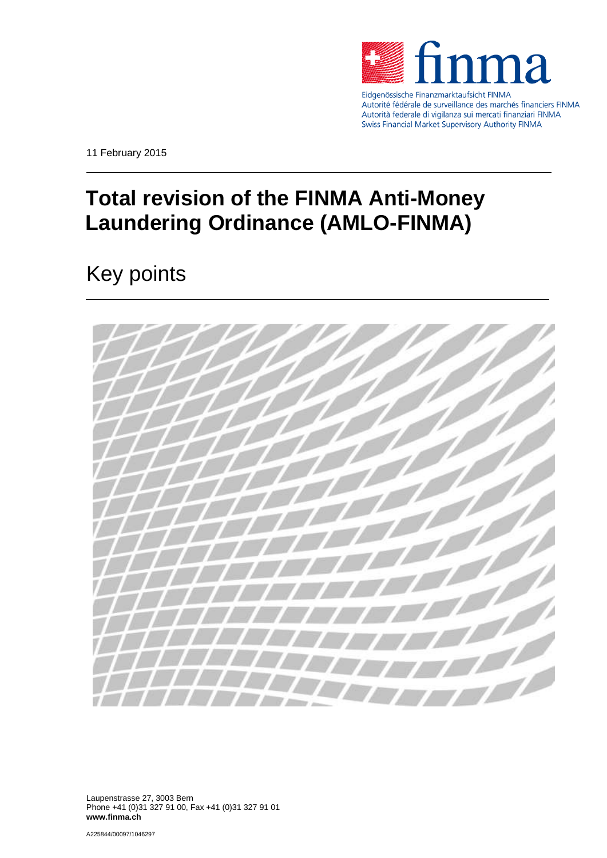

Eidgenössische Finanzmarktaufsicht FINMA Autorité fédérale de surveillance des marchés financiers FINMA Autorità federale di vigilanza sui mercati finanziari FINMA Swiss Financial Market Supervisory Authority FINMA

11 February 2015

## **Total revision of the FINMA Anti-Money Laundering Ordinance (AMLO-FINMA)**

## Key points



Laupenstrasse 27, 3003 Bern Phone +41 (0)31 327 91 00, Fax +41 (0)31 327 91 01 **www.finma.ch**

A225844/00097/1046297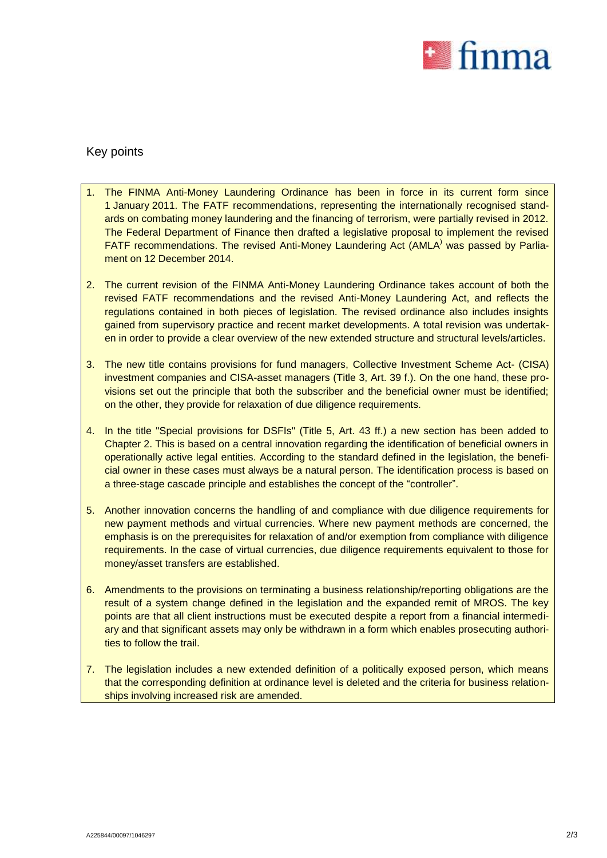

Key points

- 1. The FINMA Anti-Money Laundering Ordinance has been in force in its current form since 1 January 2011. The FATF recommendations, representing the internationally recognised standards on combating money laundering and the financing of terrorism, were partially revised in 2012. The Federal Department of Finance then drafted a legislative proposal to implement the revised FATF recommendations. The revised Anti-Money Laundering Act (AMLA<sup>)</sup> was passed by Parliament on 12 December 2014.
- 2. The current revision of the FINMA Anti-Money Laundering Ordinance takes account of both the revised FATF recommendations and the revised Anti-Money Laundering Act, and reflects the regulations contained in both pieces of legislation. The revised ordinance also includes insights gained from supervisory practice and recent market developments. A total revision was undertaken in order to provide a clear overview of the new extended structure and structural levels/articles.
- 3. The new title contains provisions for fund managers, Collective Investment Scheme Act- (CISA) investment companies and CISA-asset managers (Title 3, Art. 39 f.). On the one hand, these provisions set out the principle that both the subscriber and the beneficial owner must be identified; on the other, they provide for relaxation of due diligence requirements.
- 4. In the title "Special provisions for DSFIs" (Title 5, Art. 43 ff.) a new section has been added to Chapter 2. This is based on a central innovation regarding the identification of beneficial owners in operationally active legal entities. According to the standard defined in the legislation, the beneficial owner in these cases must always be a natural person. The identification process is based on a three-stage cascade principle and establishes the concept of the "controller".
- 5. Another innovation concerns the handling of and compliance with due diligence requirements for new payment methods and virtual currencies. Where new payment methods are concerned, the emphasis is on the prerequisites for relaxation of and/or exemption from compliance with diligence requirements. In the case of virtual currencies, due diligence requirements equivalent to those for money/asset transfers are established.
- 6. Amendments to the provisions on terminating a business relationship/reporting obligations are the result of a system change defined in the legislation and the expanded remit of MROS. The key points are that all client instructions must be executed despite a report from a financial intermediary and that significant assets may only be withdrawn in a form which enables prosecuting authorities to follow the trail.
- 7. The legislation includes a new extended definition of a politically exposed person, which means that the corresponding definition at ordinance level is deleted and the criteria for business relationships involving increased risk are amended.